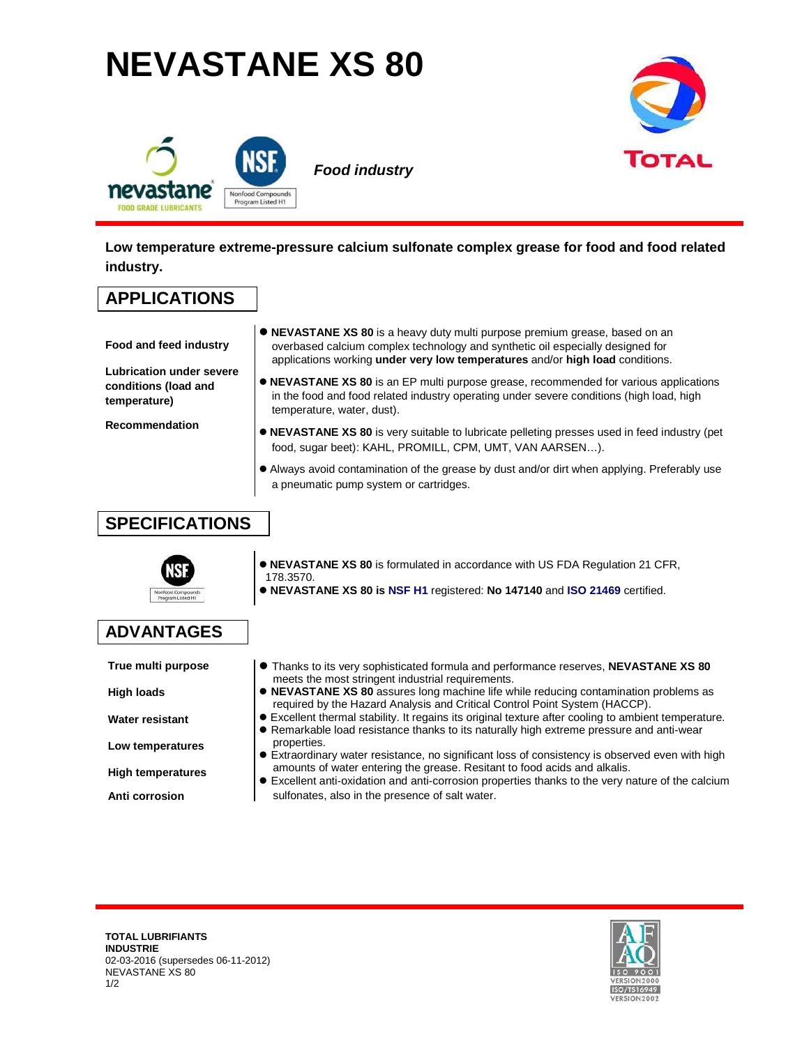## **NEVASTANE XS 80**





**Low temperature extreme-pressure calcium sulfonate complex grease for food and food related industry.** 

## **APPLICATIONS**

**Food and feed industry** 

- **NEVASTANE XS 80** is a heavy duty multi purpose premium grease, based on an overbased calcium complex technology and synthetic oil especially designed for applications working **under very low temperatures** and/or **high load** conditions.
- **Lubrication under severe conditions (load and temperature)**

**Recommendation** 

- **NEVASTANE XS 80** is an EP multi purpose grease, recommended for various applications in the food and food related industry operating under severe conditions (high load, high temperature, water, dust).
- **NEVASTANE XS 80** is very suitable to lubricate pelleting presses used in feed industry (pet food, sugar beet): KAHL, PROMILL, CPM, UMT, VAN AARSEN…).
- Always avoid contamination of the grease by dust and/or dirt when applying. Preferably use a pneumatic pump system or cartridges.

## **SPECIFICATIONS**



- **NEVASTANE XS 80** is formulated in accordance with US FDA Regulation 21 CFR, 178.3570.
- **NEVASTANE XS 80 is NSF H1** registered: **No 147140** and **ISO 21469** certified.

## **ADVANTAGES**

**True multi purpose** 

**High loads** 

- **Water resistant**
- **Low temperatures**
- **High temperatures**
- **Anti corrosion**
- Thanks to its very sophisticated formula and performance reserves, **NEVASTANE XS 80** meets the most stringent industrial requirements.
- **NEVASTANE XS 80** assures long machine life while reducing contamination problems as required by the Hazard Analysis and Critical Control Point System (HACCP).
- Excellent thermal stability. It regains its original texture after cooling to ambient temperature. Remarkable load resistance thanks to its naturally high extreme pressure and anti-wear
- properties.
	- Extraordinary water resistance, no significant loss of consistency is observed even with high amounts of water entering the grease. Resitant to food acids and alkalis.

 Excellent anti-oxidation and anti-corrosion properties thanks to the very nature of the calcium sulfonates, also in the presence of salt water.

**TOTAL LUBRIFIANTS INDUSTRIE**  02-03-2016 (supersedes 06-11-2012) NEVASTANE XS 80 1/2